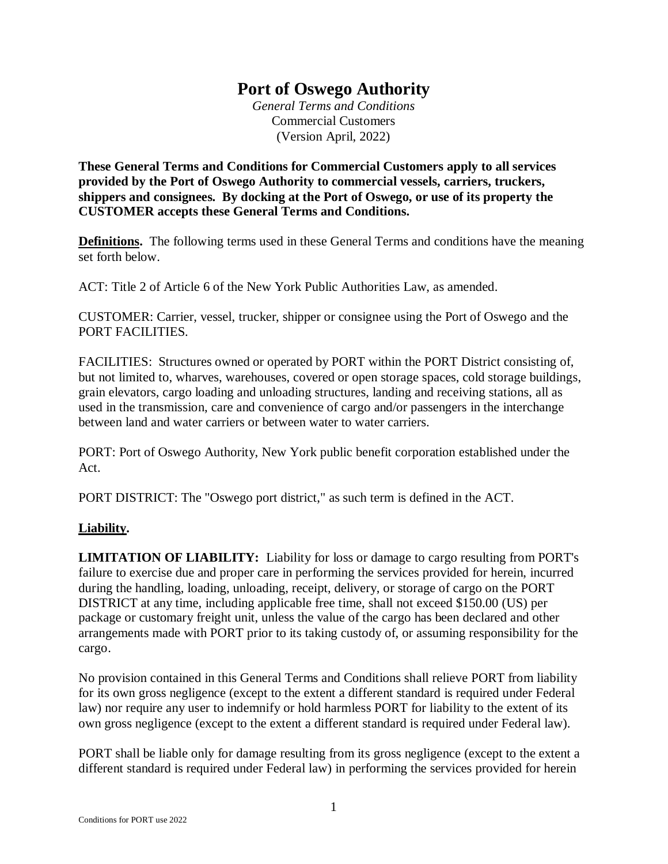## **Port of Oswego Authority**

*General Terms and Conditions* Commercial Customers (Version April, 2022)

**These General Terms and Conditions for Commercial Customers apply to all services provided by the Port of Oswego Authority to commercial vessels, carriers, truckers, shippers and consignees. By docking at the Port of Oswego, or use of its property the CUSTOMER accepts these General Terms and Conditions.**

**Definitions.** The following terms used in these General Terms and conditions have the meaning set forth below.

ACT: Title 2 of Article 6 of the New York Public Authorities Law, as amended.

CUSTOMER: Carrier, vessel, trucker, shipper or consignee using the Port of Oswego and the PORT FACILITIES.

FACILITIES: Structures owned or operated by PORT within the PORT District consisting of, but not limited to, wharves, warehouses, covered or open storage spaces, cold storage buildings, grain elevators, cargo loading and unloading structures, landing and receiving stations, all as used in the transmission, care and convenience of cargo and/or passengers in the interchange between land and water carriers or between water to water carriers.

PORT: Port of Oswego Authority, New York public benefit corporation established under the Act.

PORT DISTRICT: The "Oswego port district," as such term is defined in the ACT.

## **Liability.**

**LIMITATION OF LIABILITY:** Liability for loss or damage to cargo resulting from PORT's failure to exercise due and proper care in performing the services provided for herein, incurred during the handling, loading, unloading, receipt, delivery, or storage of cargo on the PORT DISTRICT at any time, including applicable free time, shall not exceed \$150.00 (US) per package or customary freight unit, unless the value of the cargo has been declared and other arrangements made with PORT prior to its taking custody of, or assuming responsibility for the cargo.

No provision contained in this General Terms and Conditions shall relieve PORT from liability for its own gross negligence (except to the extent a different standard is required under Federal law) nor require any user to indemnify or hold harmless PORT for liability to the extent of its own gross negligence (except to the extent a different standard is required under Federal law).

PORT shall be liable only for damage resulting from its gross negligence (except to the extent a different standard is required under Federal law) in performing the services provided for herein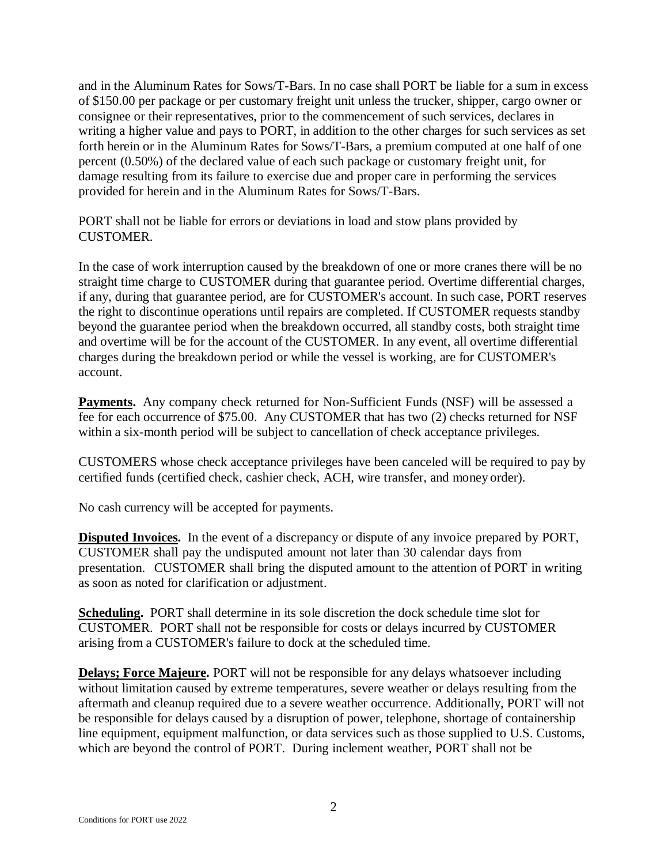and in the Aluminum Rates for Sows/T-Bars. In no case shall PORT be liable for a sum in excess of \$150.00 per package or per customary freight unit unless the trucker, shipper, cargo owner or consignee or their representatives, prior to the commencement of such services, declares in writing a higher value and pays to PORT, in addition to the other charges for such services as set forth herein or in the Aluminum Rates for Sows/T-Bars, a premium computed at one half of one percent (0.50%) of the declared value of each such package or customary freight unit, for damage resulting from its failure to exercise due and proper care in performing the services provided for herein and in the Aluminum Rates for Sows/T-Bars.

PORT shall not be liable for errors or deviations in load and stow plans provided by **CUSTOMER** 

In the case of work interruption caused by the breakdown of one or more cranes there will be no straight time charge to CUSTOMER during that guarantee period. Overtime differential charges, if any, during that guarantee period, are for CUSTOMER's account. In such case, PORT reserves the right to discontinue operations until repairs are completed. If CUSTOMER requests standby beyond the guarantee period when the breakdown occurred, all standby costs, both straight time and overtime will be for the account of the CUSTOMER. In any event, all overtime differential charges during the breakdown period or while the vessel is working, are for CUSTOMER's account.

Payments. Any company check returned for Non-Sufficient Funds (NSF) will be assessed a fee for each occurrence of \$75.00. Any CUSTOMER that has two (2) checks returned for NSF within a six-month period will be subject to cancellation of check acceptance privileges.

CUSTOMERS whose check acceptance privileges have been canceled will be required to pay by certified funds (certified check, cashier check, ACH, wire transfer, and money order).

No cash currency will be accepted for payments.

**Disputed Invoices.** In the event of a discrepancy or dispute of any invoice prepared by PORT, CUSTOMER shall pay the undisputed amount not later than 30 calendar days from presentation. CUSTOMER shall bring the disputed amount to the attention of PORT in writing as soon as noted for clarification or adjustment.

**Scheduling.** PORT shall determine in its sole discretion the dock schedule time slot for CUSTOMER. PORT shall not be responsible for costs or delays incurred by CUSTOMER arising from a CUSTOMER's failure to dock at the scheduled time.

**Delays; Force Majeure.** PORT will not be responsible for any delays whatsoever including without limitation caused by extreme temperatures, severe weather or delays resulting from the aftermath and cleanup required due to a severe weather occurrence. Additionally, PORT will not be responsible for delays caused by a disruption of power, telephone, shortage of containership line equipment, equipment malfunction, or data services such as those supplied to U.S. Customs, which are beyond the control of PORT. During inclement weather, PORT shall not be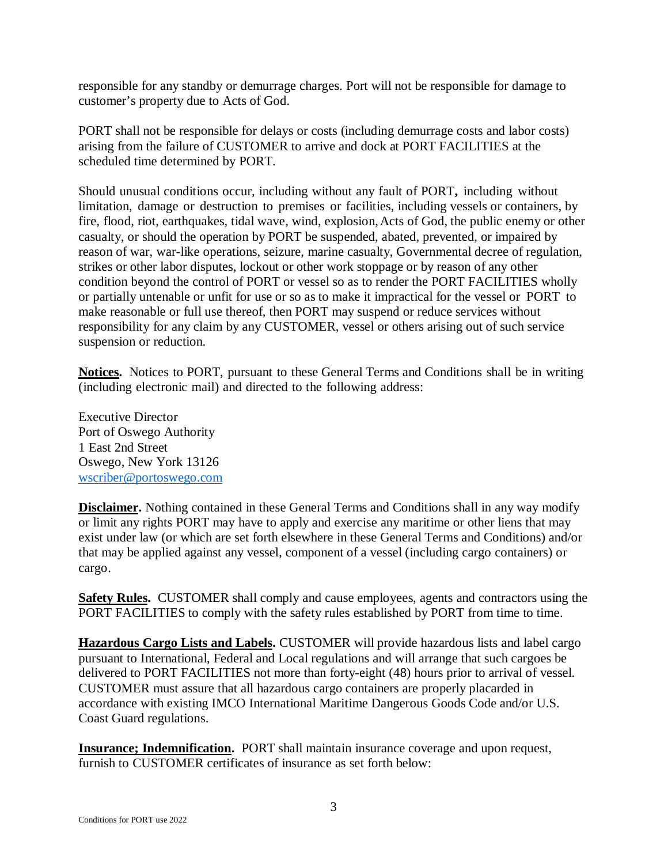responsible for any standby or demurrage charges. Port will not be responsible for damage to customer's property due to Acts of God.

PORT shall not be responsible for delays or costs (including demurrage costs and labor costs) arising from the failure of CUSTOMER to arrive and dock at PORT FACILITIES at the scheduled time determined by PORT.

Should unusual conditions occur, including without any fault of PORT**,** including without limitation, damage or destruction to premises or facilities, including vessels or containers, by fire, flood, riot, earthquakes, tidal wave, wind, explosion, Acts of God, the public enemy or other casualty, or should the operation by PORT be suspended, abated, prevented, or impaired by reason of war, war-like operations, seizure, marine casualty, Governmental decree of regulation, strikes or other labor disputes, lockout or other work stoppage or by reason of any other condition beyond the control of PORT or vessel so as to render the PORT FACILITIES wholly or partially untenable or unfit for use or so as to make it impractical for the vessel or PORT to make reasonable or full use thereof, then PORT may suspend or reduce services without responsibility for any claim by any CUSTOMER, vessel or others arising out of such service suspension or reduction.

**Notices.** Notices to PORT, pursuant to these General Terms and Conditions shall be in writing (including electronic mail) and directed to the following address:

Executive Director Port of Oswego Authority 1 East 2nd Street Oswego, New York 13126 wscriber@portoswego.com

**Disclaimer.** Nothing contained in these General Terms and Conditions shall in any way modify or limit any rights PORT may have to apply and exercise any maritime or other liens that may exist under law (or which are set forth elsewhere in these General Terms and Conditions) and/or that may be applied against any vessel, component of a vessel (including cargo containers) or cargo.

**Safety Rules.** CUSTOMER shall comply and cause employees, agents and contractors using the PORT FACILITIES to comply with the safety rules established by PORT from time to time.

**Hazardous Cargo Lists and Labels.** CUSTOMER will provide hazardous lists and label cargo pursuant to International, Federal and Local regulations and will arrange that such cargoes be delivered to PORT FACILITIES not more than forty-eight (48) hours prior to arrival of vessel. CUSTOMER must assure that all hazardous cargo containers are properly placarded in accordance with existing IMCO International Maritime Dangerous Goods Code and/or U.S. Coast Guard regulations.

**Insurance; Indemnification.** PORT shall maintain insurance coverage and upon request, furnish to CUSTOMER certificates of insurance as set forth below: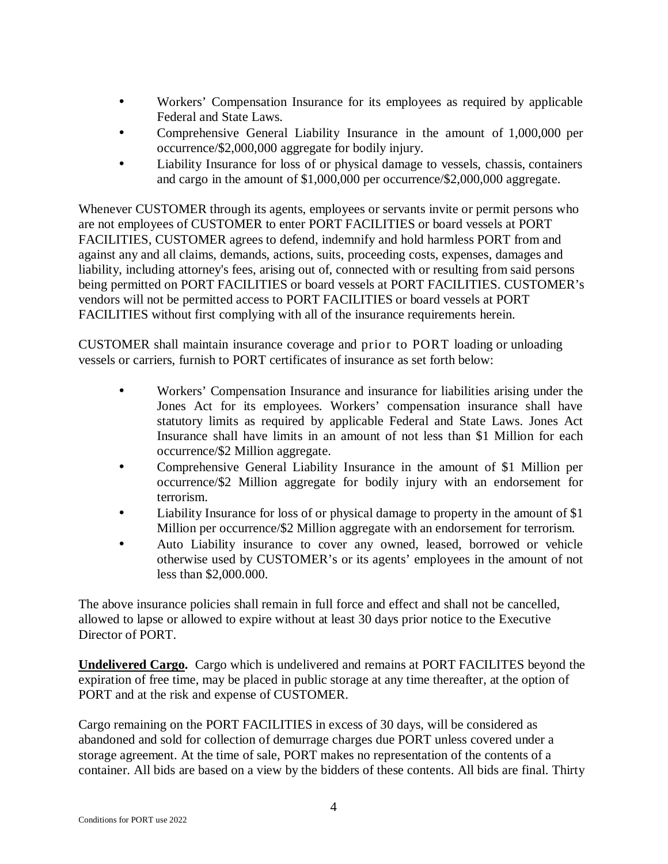- Workers' Compensation Insurance for its employees as required by applicable J. Federal and State Laws.
- Comprehensive General Liability Insurance in the amount of 1,000,000 per  $\bullet$ occurrence/\$2,000,000 aggregate for bodily injury.
- Liability Insurance for loss of or physical damage to vessels, chassis, containers ä, and cargo in the amount of \$1,000,000 per occurrence/\$2,000,000 aggregate.

Whenever CUSTOMER through its agents, employees or servants invite or permit persons who are not employees of CUSTOMER to enter PORT FACILITIES or board vessels at PORT FACILITIES, CUSTOMER agrees to defend, indemnify and hold harmless PORT from and against any and all claims, demands, actions, suits, proceeding costs, expenses, damages and liability, including attorney's fees, arising out of, connected with or resulting from said persons being permitted on PORT FACILITIES or board vessels at PORT FACILITIES. CUSTOMER's vendors will not be permitted access to PORT FACILITIES or board vessels at PORT FACILITIES without first complying with all of the insurance requirements herein.

CUSTOMER shall maintain insurance coverage and prior to PORT loading or unloading vessels or carriers, furnish to PORT certificates of insurance as set forth below:

- Workers' Compensation Insurance and insurance for liabilities arising under the Jones Act for its employees. Workers' compensation insurance shall have statutory limits as required by applicable Federal and State Laws. Jones Act Insurance shall have limits in an amount of not less than \$1 Million for each occurrence/\$2 Million aggregate.
- Comprehensive General Liability Insurance in the amount of \$1 Million per occurrence/\$2 Million aggregate for bodily injury with an endorsement for terrorism.
- Liability Insurance for loss of or physical damage to property in the amount of \$1 ä. Million per occurrence/\$2 Million aggregate with an endorsement for terrorism.
- Auto Liability insurance to cover any owned, leased, borrowed or vehicle  $\mathbf{r}$ otherwise used by CUSTOMER's or its agents' employees in the amount of not less than \$2,000.000.

The above insurance policies shall remain in full force and effect and shall not be cancelled, allowed to lapse or allowed to expire without at least 30 days prior notice to the Executive Director of PORT.

**Undelivered Cargo.** Cargo which is undelivered and remains at PORT FACILITES beyond the expiration of free time, may be placed in public storage at any time thereafter, at the option of PORT and at the risk and expense of CUSTOMER.

Cargo remaining on the PORT FACILITIES in excess of 30 days, will be considered as abandoned and sold for collection of demurrage charges due PORT unless covered under a storage agreement. At the time of sale, PORT makes no representation of the contents of a container. All bids are based on a view by the bidders of these contents. All bids are final. Thirty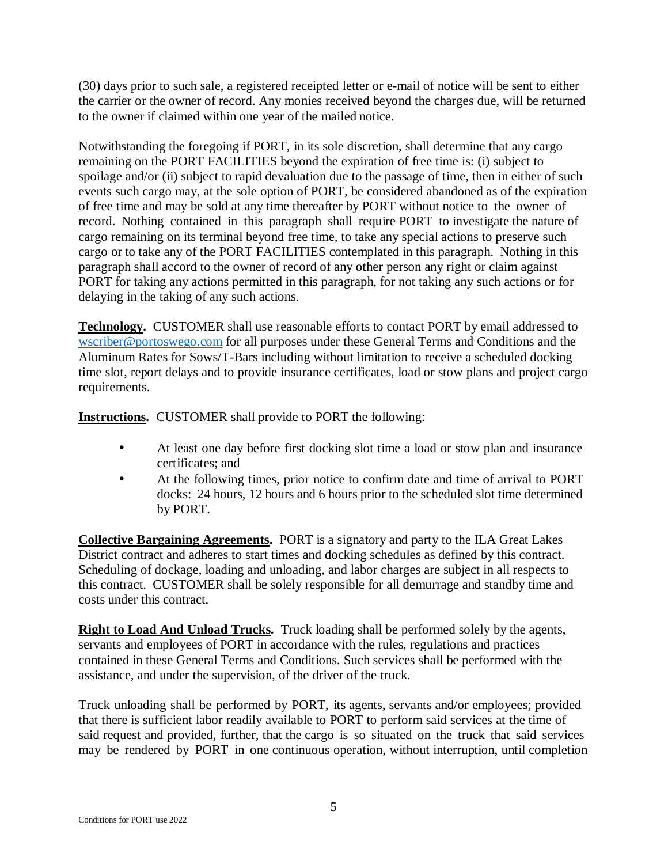(30) days prior to such sale, a registered receipted letter or e-mail of notice will be sent to either the carrier or the owner of record. Any monies received beyond the charges due, will be returned to the owner if claimed within one year of the mailed notice.

Notwithstanding the foregoing if PORT, in its sole discretion, shall determine that any cargo remaining on the PORT FACILITIES beyond the expiration of free time is: (i) subject to spoilage and/or (ii) subject to rapid devaluation due to the passage of time, then in either of such events such cargo may, at the sole option of PORT, be considered abandoned as of the expiration of free time and may be sold at any time thereafter by PORT without notice to the owner of record. Nothing contained in this paragraph shall require PORT to investigate the nature of cargo remaining on its terminal beyond free time, to take any special actions to preserve such cargo or to take any of the PORT FACILITIES contemplated in this paragraph. Nothing in this paragraph shall accord to the owner of record of any other person any right or claim against PORT for taking any actions permitted in this paragraph, for not taking any such actions or for delaying in the taking of any such actions.

**Technology.** CUSTOMER shall use reasonable efforts to contact PORT by email addressed to wscriber@portoswego.com for all purposes under these General Terms and Conditions and the Aluminum Rates for Sows/T-Bars including without limitation to receive a scheduled docking time slot, report delays and to provide insurance certificates, load or stow plans and project cargo requirements.

**Instructions.** CUSTOMER shall provide to PORT the following:

- At least one day before first docking slot time a load or stow plan and insurance ä, certificates; and
- At the following times, prior notice to confirm date and time of arrival to PORT ÷. docks: 24 hours, 12 hours and 6 hours prior to the scheduled slot time determined by PORT.

**Collective Bargaining Agreements.** PORT is a signatory and party to the ILA Great Lakes District contract and adheres to start times and docking schedules as defined by this contract. Scheduling of dockage, loading and unloading, and labor charges are subject in all respects to this contract. CUSTOMER shall be solely responsible for all demurrage and standby time and costs under this contract.

**Right to Load And Unload Trucks.** Truck loading shall be performed solely by the agents, servants and employees of PORT in accordance with the rules, regulations and practices contained in these General Terms and Conditions. Such services shall be performed with the assistance, and under the supervision, of the driver of the truck.

Truck unloading shall be performed by PORT, its agents, servants and/or employees; provided that there is sufficient labor readily available to PORT to perform said services at the time of said request and provided, further, that the cargo is so situated on the truck that said services may be rendered by PORT in one continuous operation, without interruption, until completion